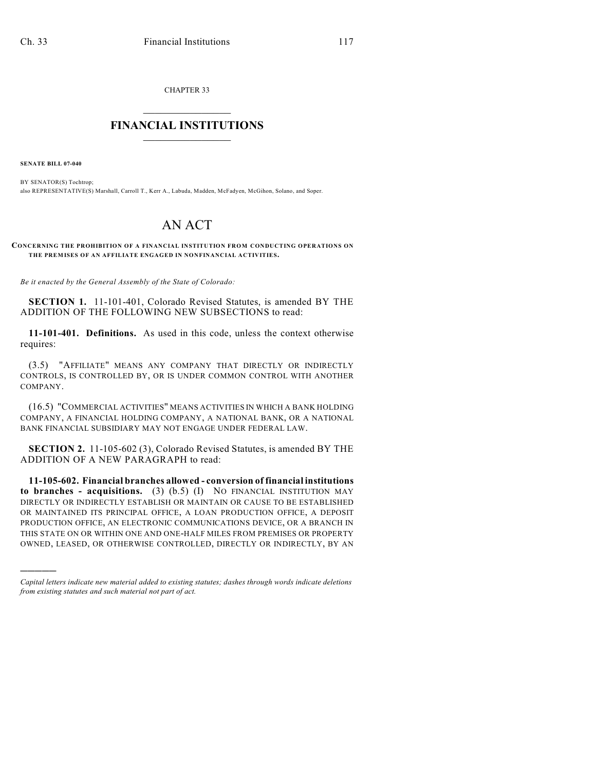CHAPTER 33

## $\mathcal{L}_\text{max}$  . The set of the set of the set of the set of the set of the set of the set of the set of the set of the set of the set of the set of the set of the set of the set of the set of the set of the set of the set **FINANCIAL INSTITUTIONS**  $\frac{1}{2}$  ,  $\frac{1}{2}$  ,  $\frac{1}{2}$  ,  $\frac{1}{2}$  ,  $\frac{1}{2}$  ,  $\frac{1}{2}$  ,  $\frac{1}{2}$

**SENATE BILL 07-040**

)))))

BY SENATOR(S) Tochtrop; also REPRESENTATIVE(S) Marshall, Carroll T., Kerr A., Labuda, Madden, McFadyen, McGihon, Solano, and Soper.

## AN ACT

## **CONCERNING THE PROHIBITION OF A FINANCIAL INSTITUTION FROM CONDUCTING OPERATIONS ON THE PREMISES OF AN AFFILIATE ENGAGED IN NONFINANCIAL ACTIVITIES.**

*Be it enacted by the General Assembly of the State of Colorado:*

**SECTION 1.** 11-101-401, Colorado Revised Statutes, is amended BY THE ADDITION OF THE FOLLOWING NEW SUBSECTIONS to read:

**11-101-401. Definitions.** As used in this code, unless the context otherwise requires:

(3.5) "AFFILIATE" MEANS ANY COMPANY THAT DIRECTLY OR INDIRECTLY CONTROLS, IS CONTROLLED BY, OR IS UNDER COMMON CONTROL WITH ANOTHER COMPANY.

(16.5) "COMMERCIAL ACTIVITIES" MEANS ACTIVITIES IN WHICH A BANK HOLDING COMPANY, A FINANCIAL HOLDING COMPANY, A NATIONAL BANK, OR A NATIONAL BANK FINANCIAL SUBSIDIARY MAY NOT ENGAGE UNDER FEDERAL LAW.

**SECTION 2.** 11-105-602 (3), Colorado Revised Statutes, is amended BY THE ADDITION OF A NEW PARAGRAPH to read:

**11-105-602. Financial branches allowed - conversion of financial institutions to branches - acquisitions.** (3) (b.5) (I) NO FINANCIAL INSTITUTION MAY DIRECTLY OR INDIRECTLY ESTABLISH OR MAINTAIN OR CAUSE TO BE ESTABLISHED OR MAINTAINED ITS PRINCIPAL OFFICE, A LOAN PRODUCTION OFFICE, A DEPOSIT PRODUCTION OFFICE, AN ELECTRONIC COMMUNICATIONS DEVICE, OR A BRANCH IN THIS STATE ON OR WITHIN ONE AND ONE-HALF MILES FROM PREMISES OR PROPERTY OWNED, LEASED, OR OTHERWISE CONTROLLED, DIRECTLY OR INDIRECTLY, BY AN

*Capital letters indicate new material added to existing statutes; dashes through words indicate deletions from existing statutes and such material not part of act.*